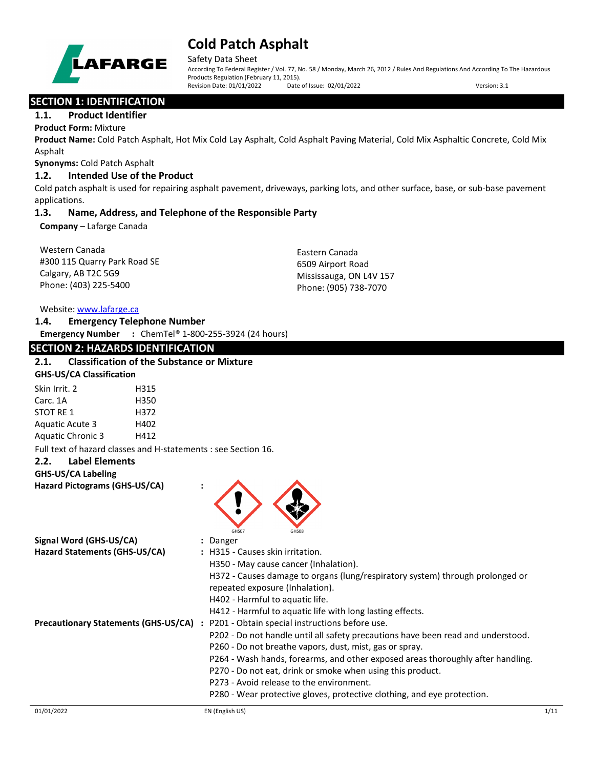

Safety Data Sheet

According To Federal Register / Vol. 77, No. 58 / Monday, March 26, 2012 / Rules And Regulations And According To The Hazardous Products Regulation (February 11, 2015).<br>Revision Date: 01/01/2022 Date of Issue: 02/01/2022 Revision Date: 01/01/2022 Date of Issue: 02/01/2022 Version: 3.1

## **SECTION 1: IDENTIFICATION**

### **1.1. Product Identifier**

#### **Product Form:** Mixture

**Product Name:** Cold Patch Asphalt, Hot Mix Cold Lay Asphalt, Cold Asphalt Paving Material, Cold Mix Asphaltic Concrete, Cold Mix Asphalt

**Synonyms:** Cold Patch Asphalt

#### **1.2. Intended Use of the Product**

Cold patch asphalt is used for repairing asphalt pavement, driveways, parking lots, and other surface, base, or sub-base pavement applications.

### **1.3. Name, Address, and Telephone of the Responsible Party**

**Company** – Lafarge Canada

| Western Canada               | Eastern Canada          |
|------------------------------|-------------------------|
| #300 115 Quarry Park Road SE | 6509 Airport Road       |
| Calgary, AB T2C 5G9          | Mississauga, ON L4V 157 |
| Phone: (403) 225-5400        | Phone: (905) 738-7070   |

Website: [www.lafarge.ca](file://leon/customers/CUSTOMERS/Lafarge_North_America_Inc/Projects/Authoring_20180316/Batch_Folder/B_Draft_SDS/MS_Word_Files/www.lafarge.ca)

| 1.4. |                         | <b>Emergency Telephone Number</b>    |
|------|-------------------------|--------------------------------------|
|      | <b>Emergency Number</b> | : ChemTel® 1-800-255-3924 (24 hours) |

## **SECTION 2: HAZARDS IDENTIFICATION 2.1. Classification of the Substance or Mixture GHS-US/CA Classification** Skin Irrit. 2 H315 Carc. 1A H350 STOT RE 1 H372

Aquatic Acute 3 H402 Aquatic Chronic 3 H412

Full text of hazard classes and H-statements : see Section 16.

#### **2.2. Label Elements**

## **GHS-US/CA Labeling**

**Hazard Pictograms (GHS-US/CA) :**



| Signal Word (GHS-US/CA)                     | : Danger                                                                         |
|---------------------------------------------|----------------------------------------------------------------------------------|
| Hazard Statements (GHS-US/CA)               | : H315 - Causes skin irritation.                                                 |
|                                             | H350 - May cause cancer (Inhalation).                                            |
|                                             | H372 - Causes damage to organs (lung/respiratory system) through prolonged or    |
|                                             | repeated exposure (Inhalation).                                                  |
|                                             | H402 - Harmful to aquatic life.                                                  |
|                                             | H412 - Harmful to aquatic life with long lasting effects.                        |
| <b>Precautionary Statements (GHS-US/CA)</b> | : P201 - Obtain special instructions before use.                                 |
|                                             | P202 - Do not handle until all safety precautions have been read and understood. |
|                                             | P260 - Do not breathe vapors, dust, mist, gas or spray.                          |
|                                             | P264 - Wash hands, forearms, and other exposed areas thoroughly after handling.  |
|                                             | P270 - Do not eat, drink or smoke when using this product.                       |
|                                             | P273 - Avoid release to the environment.                                         |
|                                             | P280 - Wear protective gloves, protective clothing, and eye protection.          |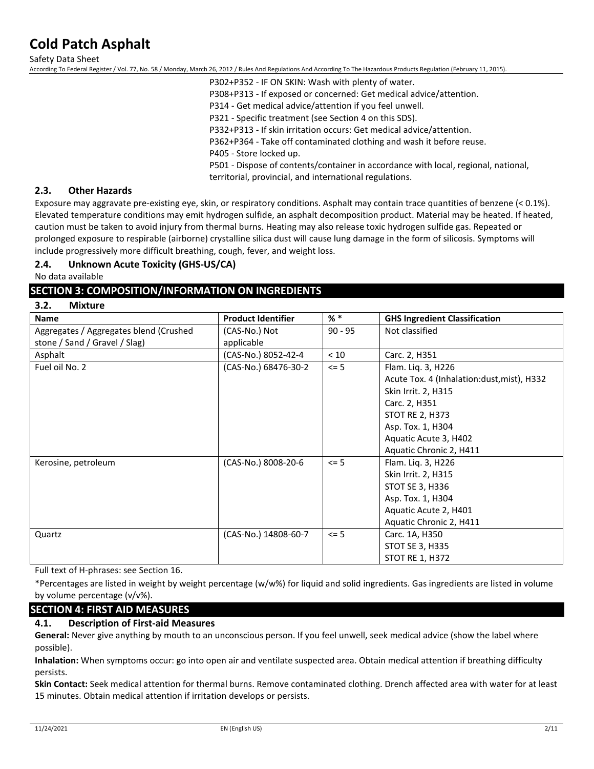Safety Data Sheet

According To Federal Register / Vol. 77, No. 58 / Monday, March 26, 2012 / Rules And Regulations And According To The Hazardous Products Regulation (February 11, 2015).

P302+P352 - IF ON SKIN: Wash with plenty of water. P308+P313 - If exposed or concerned: Get medical advice/attention. P314 - Get medical advice/attention if you feel unwell. P321 - Specific treatment (see Section 4 on this SDS). P332+P313 - If skin irritation occurs: Get medical advice/attention. P362+P364 - Take off contaminated clothing and wash it before reuse. P405 - Store locked up. P501 - Dispose of contents/container in accordance with local, regional, national, territorial, provincial, and international regulations.

#### **2.3. Other Hazards**

Exposure may aggravate pre-existing eye, skin, or respiratory conditions. Asphalt may contain trace quantities of benzene (< 0.1%). Elevated temperature conditions may emit hydrogen sulfide, an asphalt decomposition product. Material may be heated. If heated, caution must be taken to avoid injury from thermal burns. Heating may also release toxic hydrogen sulfide gas. Repeated or prolonged exposure to respirable (airborne) crystalline silica dust will cause lung damage in the form of silicosis. Symptoms will include progressively more difficult breathing, cough, fever, and weight loss.

### **2.4. Unknown Acute Toxicity (GHS-US/CA)**

No data available

## **SECTION 3: COMPOSITION/INFORMATION ON INGREDIENTS**

**3.2. Mixture**

| <b>Name</b>                            | <b>Product Identifier</b> | $%$ *     | <b>GHS Ingredient Classification</b>        |
|----------------------------------------|---------------------------|-----------|---------------------------------------------|
| Aggregates / Aggregates blend (Crushed | (CAS-No.) Not             | $90 - 95$ | Not classified                              |
| stone / Sand / Gravel / Slag)          | applicable                |           |                                             |
| Asphalt                                | (CAS-No.) 8052-42-4       | < 10      | Carc. 2, H351                               |
| Fuel oil No. 2                         | (CAS-No.) 68476-30-2      | $\leq$ 5  | Flam. Liq. 3, H226                          |
|                                        |                           |           | Acute Tox. 4 (Inhalation: dust, mist), H332 |
|                                        |                           |           | Skin Irrit. 2, H315                         |
|                                        |                           |           | Carc. 2, H351                               |
|                                        |                           |           | <b>STOT RE 2, H373</b>                      |
|                                        |                           |           | Asp. Tox. 1, H304                           |
|                                        |                           |           | Aquatic Acute 3, H402                       |
|                                        |                           |           | Aquatic Chronic 2, H411                     |
| Kerosine, petroleum                    | (CAS-No.) 8008-20-6       | $\leq$ 5  | Flam. Liq. 3, H226                          |
|                                        |                           |           | Skin Irrit. 2, H315                         |
|                                        |                           |           | STOT SE 3, H336                             |
|                                        |                           |           | Asp. Tox. 1, H304                           |
|                                        |                           |           | Aquatic Acute 2, H401                       |
|                                        |                           |           | Aquatic Chronic 2, H411                     |
| Quartz                                 | (CAS-No.) 14808-60-7      | $\leq$ 5  | Carc. 1A, H350                              |
|                                        |                           |           | STOT SE 3, H335                             |
|                                        |                           |           | <b>STOT RE 1, H372</b>                      |

Full text of H-phrases: see Section 16.

\*Percentages are listed in weight by weight percentage (w/w%) for liquid and solid ingredients. Gas ingredients are listed in volume by volume percentage (v/v%).

## **SECTION 4: FIRST AID MEASURES**

#### **4.1. Description of First-aid Measures**

**General:** Never give anything by mouth to an unconscious person. If you feel unwell, seek medical advice (show the label where possible).

**Inhalation:** When symptoms occur: go into open air and ventilate suspected area. Obtain medical attention if breathing difficulty persists.

**Skin Contact:** Seek medical attention for thermal burns. Remove contaminated clothing. Drench affected area with water for at least 15 minutes. Obtain medical attention if irritation develops or persists.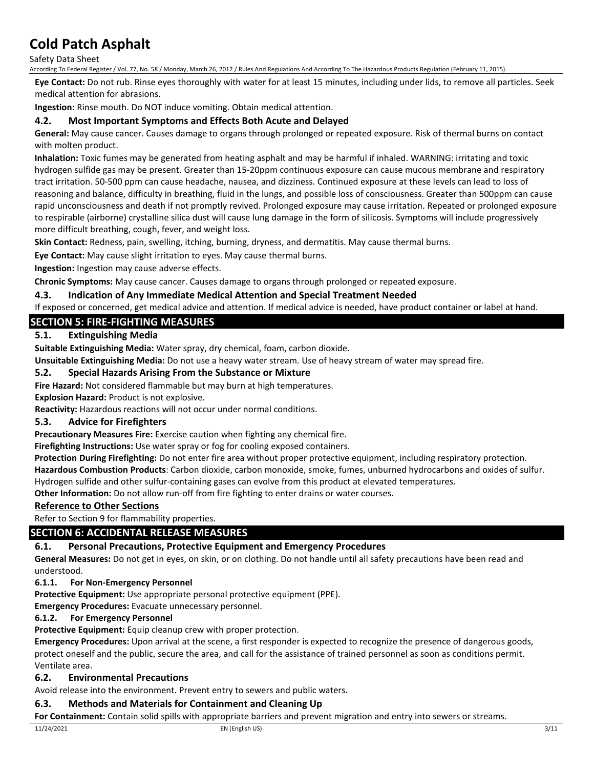Safety Data Sheet

According To Federal Register / Vol. 77, No. 58 / Monday, March 26, 2012 / Rules And Regulations And According To The Hazardous Products Regulation (February 11, 2015).

**Eye Contact:** Do not rub. Rinse eyes thoroughly with water for at least 15 minutes, including under lids, to remove all particles. Seek medical attention for abrasions.

**Ingestion:** Rinse mouth. Do NOT induce vomiting. Obtain medical attention.

### **4.2. Most Important Symptoms and Effects Both Acute and Delayed**

**General:** May cause cancer. Causes damage to organs through prolonged or repeated exposure. Risk of thermal burns on contact with molten product.

**Inhalation:** Toxic fumes may be generated from heating asphalt and may be harmful if inhaled. WARNING: irritating and toxic hydrogen sulfide gas may be present. Greater than 15-20ppm continuous exposure can cause mucous membrane and respiratory tract irritation. 50-500 ppm can cause headache, nausea, and dizziness. Continued exposure at these levels can lead to loss of reasoning and balance, difficulty in breathing, fluid in the lungs, and possible loss of consciousness. Greater than 500ppm can cause rapid unconsciousness and death if not promptly revived. Prolonged exposure may cause irritation. Repeated or prolonged exposure to respirable (airborne) crystalline silica dust will cause lung damage in the form of silicosis. Symptoms will include progressively more difficult breathing, cough, fever, and weight loss.

**Skin Contact:** Redness, pain, swelling, itching, burning, dryness, and dermatitis. May cause thermal burns.

**Eye Contact:** May cause slight irritation to eyes. May cause thermal burns.

**Ingestion:** Ingestion may cause adverse effects.

**Chronic Symptoms:** May cause cancer. Causes damage to organs through prolonged or repeated exposure.

## **4.3. Indication of Any Immediate Medical Attention and Special Treatment Needed**

If exposed or concerned, get medical advice and attention. If medical advice is needed, have product container or label at hand.

## **SECTION 5: FIRE-FIGHTING MEASURES**

## **5.1. Extinguishing Media**

**Suitable Extinguishing Media:** Water spray, dry chemical, foam, carbon dioxide.

**Unsuitable Extinguishing Media:** Do not use a heavy water stream. Use of heavy stream of water may spread fire.

### **5.2. Special Hazards Arising From the Substance or Mixture**

**Fire Hazard:** Not considered flammable but may burn at high temperatures.

**Explosion Hazard:** Product is not explosive.

**Reactivity:** Hazardous reactions will not occur under normal conditions.

## **5.3. Advice for Firefighters**

**Precautionary Measures Fire:** Exercise caution when fighting any chemical fire.

**Firefighting Instructions:** Use water spray or fog for cooling exposed containers.

**Protection During Firefighting:** Do not enter fire area without proper protective equipment, including respiratory protection.

**Hazardous Combustion Products**: Carbon dioxide, carbon monoxide, smoke, fumes, unburned hydrocarbons and oxides of sulfur. Hydrogen sulfide and other sulfur-containing gases can evolve from this product at elevated temperatures.

**Other Information:** Do not allow run-off from fire fighting to enter drains or water courses.

#### **Reference to Other Sections**

Refer to Section 9 for flammability properties.

## **SECTION 6: ACCIDENTAL RELEASE MEASURES**

## **6.1. Personal Precautions, Protective Equipment and Emergency Procedures**

**General Measures:** Do not get in eyes, on skin, or on clothing. Do not handle until all safety precautions have been read and understood.

#### **6.1.1. For Non-Emergency Personnel**

**Protective Equipment:** Use appropriate personal protective equipment (PPE).

**Emergency Procedures:** Evacuate unnecessary personnel.

#### **6.1.2. For Emergency Personnel**

**Protective Equipment:** Equip cleanup crew with proper protection.

**Emergency Procedures:** Upon arrival at the scene, a first responder is expected to recognize the presence of dangerous goods, protect oneself and the public, secure the area, and call for the assistance of trained personnel as soon as conditions permit. Ventilate area.

## **6.2. Environmental Precautions**

Avoid release into the environment. Prevent entry to sewers and public waters.

### **6.3. Methods and Materials for Containment and Cleaning Up**

**For Containment:** Contain solid spills with appropriate barriers and prevent migration and entry into sewers or streams.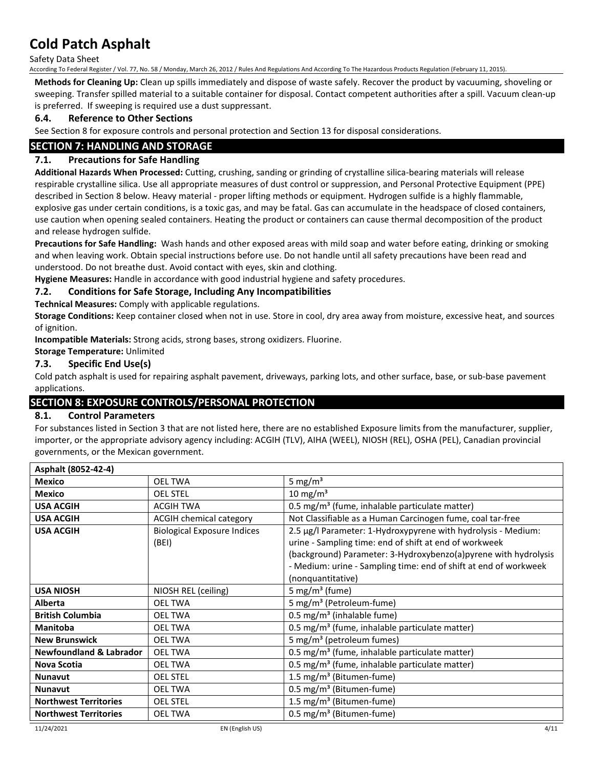Safety Data Sheet

According To Federal Register / Vol. 77, No. 58 / Monday, March 26, 2012 / Rules And Regulations And According To The Hazardous Products Regulation (February 11, 2015).

**Methods for Cleaning Up:** Clean up spills immediately and dispose of waste safely. Recover the product by vacuuming, shoveling or sweeping. Transfer spilled material to a suitable container for disposal. Contact competent authorities after a spill. Vacuum clean-up is preferred. If sweeping is required use a dust suppressant.

### **6.4. Reference to Other Sections**

See Section 8 for exposure controls and personal protection and Section 13 for disposal considerations.

## **SECTION 7: HANDLING AND STORAGE**

## **7.1. Precautions for Safe Handling**

**Additional Hazards When Processed:** Cutting, crushing, sanding or grinding of crystalline silica-bearing materials will release respirable crystalline silica. Use all appropriate measures of dust control or suppression, and Personal Protective Equipment (PPE) described in Section 8 below. Heavy material - proper lifting methods or equipment. Hydrogen sulfide is a highly flammable, explosive gas under certain conditions, is a toxic gas, and may be fatal. Gas can accumulate in the headspace of closed containers, use caution when opening sealed containers. Heating the product or containers can cause thermal decomposition of the product and release hydrogen sulfide.

**Precautions for Safe Handling:** Wash hands and other exposed areas with mild soap and water before eating, drinking or smoking and when leaving work. Obtain special instructions before use. Do not handle until all safety precautions have been read and understood. Do not breathe dust. Avoid contact with eyes, skin and clothing.

**Hygiene Measures:** Handle in accordance with good industrial hygiene and safety procedures.

### **7.2. Conditions for Safe Storage, Including Any Incompatibilities**

**Technical Measures:** Comply with applicable regulations.

**Storage Conditions:** Keep container closed when not in use. Store in cool, dry area away from moisture, excessive heat, and sources of ignition.

**Incompatible Materials:** Strong acids, strong bases, strong oxidizers. Fluorine.

## **Storage Temperature:** Unlimited

#### **7.3. Specific End Use(s)**

Cold patch asphalt is used for repairing asphalt pavement, driveways, parking lots, and other surface, base, or sub-base pavement applications.

## **SECTION 8: EXPOSURE CONTROLS/PERSONAL PROTECTION**

## **8.1. Control Parameters**

For substances listed in Section 3 that are not listed here, there are no established Exposure limits from the manufacturer, supplier, importer, or the appropriate advisory agency including: ACGIH (TLV), AIHA (WEEL), NIOSH (REL), OSHA (PEL), Canadian provincial governments, or the Mexican government.

| Asphalt (8052-42-4)                |                                             |                                                                                                                                                                                                                                                                                     |
|------------------------------------|---------------------------------------------|-------------------------------------------------------------------------------------------------------------------------------------------------------------------------------------------------------------------------------------------------------------------------------------|
| <b>Mexico</b>                      | <b>OEL TWA</b>                              | 5 mg/m <sup>3</sup>                                                                                                                                                                                                                                                                 |
| <b>Mexico</b>                      | <b>OEL STEL</b>                             | 10 mg/m <sup>3</sup>                                                                                                                                                                                                                                                                |
| <b>USA ACGIH</b>                   | <b>ACGIH TWA</b>                            | 0.5 mg/m <sup>3</sup> (fume, inhalable particulate matter)                                                                                                                                                                                                                          |
| <b>USA ACGIH</b>                   | ACGIH chemical category                     | Not Classifiable as a Human Carcinogen fume, coal tar-free                                                                                                                                                                                                                          |
| <b>USA ACGIH</b>                   | <b>Biological Exposure Indices</b><br>(BEI) | 2.5 µg/l Parameter: 1-Hydroxypyrene with hydrolysis - Medium:<br>urine - Sampling time: end of shift at end of workweek<br>(background) Parameter: 3-Hydroxybenzo(a)pyrene with hydrolysis<br>- Medium: urine - Sampling time: end of shift at end of workweek<br>(nonquantitative) |
| <b>USA NIOSH</b>                   | NIOSH REL (ceiling)                         | 5 mg/m <sup>3</sup> (fume)                                                                                                                                                                                                                                                          |
| <b>Alberta</b>                     | <b>OEL TWA</b>                              | 5 mg/m <sup>3</sup> (Petroleum-fume)                                                                                                                                                                                                                                                |
| <b>British Columbia</b>            | <b>OEL TWA</b>                              | 0.5 mg/m <sup>3</sup> (inhalable fume)                                                                                                                                                                                                                                              |
| <b>Manitoba</b>                    | <b>OEL TWA</b>                              | 0.5 mg/m <sup>3</sup> (fume, inhalable particulate matter)                                                                                                                                                                                                                          |
| <b>New Brunswick</b>               | <b>OEL TWA</b>                              | 5 mg/m <sup>3</sup> (petroleum fumes)                                                                                                                                                                                                                                               |
| <b>Newfoundland &amp; Labrador</b> | <b>OEL TWA</b>                              | 0.5 mg/m <sup>3</sup> (fume, inhalable particulate matter)                                                                                                                                                                                                                          |
| Nova Scotia                        | <b>OEL TWA</b>                              | 0.5 mg/m <sup>3</sup> (fume, inhalable particulate matter)                                                                                                                                                                                                                          |
| <b>Nunavut</b>                     | <b>OEL STEL</b>                             | 1.5 mg/m <sup>3</sup> (Bitumen-fume)                                                                                                                                                                                                                                                |
| <b>Nunavut</b>                     | <b>OEL TWA</b>                              | $0.5 \text{ mg/m}^3$ (Bitumen-fume)                                                                                                                                                                                                                                                 |
| <b>Northwest Territories</b>       | <b>OEL STEL</b>                             | 1.5 mg/m <sup>3</sup> (Bitumen-fume)                                                                                                                                                                                                                                                |
| <b>Northwest Territories</b>       | <b>OEL TWA</b>                              | $0.5 \text{ mg/m}^3$ (Bitumen-fume)                                                                                                                                                                                                                                                 |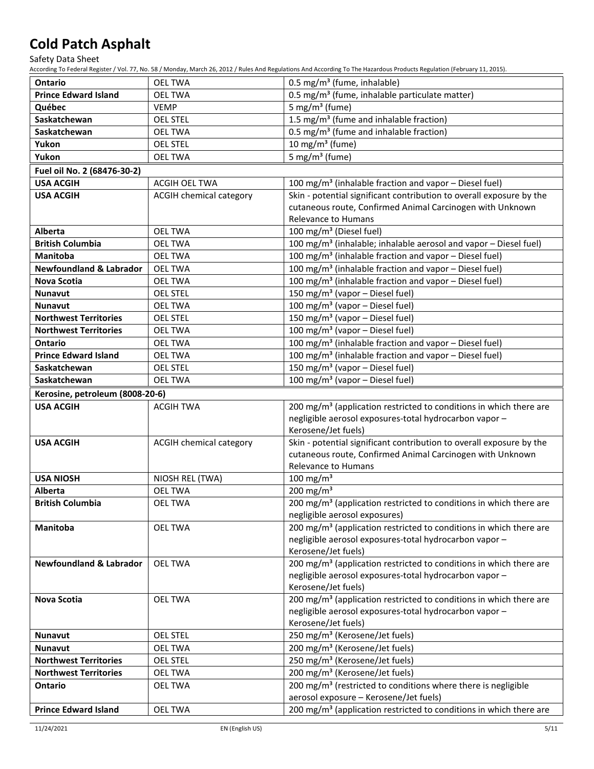Safety Data Sheet

According To Federal Register / Vol. 77, No. 58 / Monday, March 26, 2012 / Rules And Regulations And According To The Hazardous Products Regulation (February 11, 2015).

| <b>Ontario</b>                     | <b>OEL TWA</b>                 | 0.5 mg/m <sup>3</sup> (fume, inhalable)                                                                                  |
|------------------------------------|--------------------------------|--------------------------------------------------------------------------------------------------------------------------|
| <b>Prince Edward Island</b>        | <b>OEL TWA</b>                 | 0.5 mg/m <sup>3</sup> (fume, inhalable particulate matter)                                                               |
| Québec                             | <b>VEMP</b>                    | 5 mg/m <sup>3</sup> (fume)                                                                                               |
| Saskatchewan                       | <b>OEL STEL</b>                | 1.5 mg/m <sup>3</sup> (fume and inhalable fraction)                                                                      |
| Saskatchewan                       | <b>OEL TWA</b>                 | 0.5 mg/m <sup>3</sup> (fume and inhalable fraction)                                                                      |
| Yukon                              | <b>OEL STEL</b>                | 10 mg/m $3$ (fume)                                                                                                       |
| Yukon                              | <b>OEL TWA</b>                 | 5 mg/m <sup>3</sup> (fume)                                                                                               |
| Fuel oil No. 2 (68476-30-2)        |                                |                                                                                                                          |
| <b>USA ACGIH</b>                   | ACGIH OEL TWA                  | 100 mg/m <sup>3</sup> (inhalable fraction and vapor - Diesel fuel)                                                       |
| <b>USA ACGIH</b>                   |                                | Skin - potential significant contribution to overall exposure by the                                                     |
|                                    | <b>ACGIH chemical category</b> | cutaneous route, Confirmed Animal Carcinogen with Unknown                                                                |
|                                    |                                | Relevance to Humans                                                                                                      |
| Alberta                            | <b>OEL TWA</b>                 | 100 mg/m <sup>3</sup> (Diesel fuel)                                                                                      |
| <b>British Columbia</b>            | <b>OEL TWA</b>                 | 100 mg/m <sup>3</sup> (inhalable; inhalable aerosol and vapor - Diesel fuel)                                             |
| <b>Manitoba</b>                    | <b>OEL TWA</b>                 | 100 mg/m <sup>3</sup> (inhalable fraction and vapor - Diesel fuel)                                                       |
| <b>Newfoundland &amp; Labrador</b> | <b>OEL TWA</b>                 | 100 mg/m <sup>3</sup> (inhalable fraction and vapor - Diesel fuel)                                                       |
| <b>Nova Scotia</b>                 | <b>OEL TWA</b>                 | 100 mg/m <sup>3</sup> (inhalable fraction and vapor - Diesel fuel)                                                       |
| Nunavut                            | <b>OEL STEL</b>                | 150 mg/m <sup>3</sup> (vapor - Diesel fuel)                                                                              |
| <b>Nunavut</b>                     | <b>OEL TWA</b>                 |                                                                                                                          |
|                                    |                                | 100 mg/m <sup>3</sup> (vapor - Diesel fuel)                                                                              |
| <b>Northwest Territories</b>       | <b>OEL STEL</b>                | 150 mg/m <sup>3</sup> (vapor - Diesel fuel)                                                                              |
| <b>Northwest Territories</b>       | <b>OEL TWA</b>                 | 100 mg/m <sup>3</sup> (vapor - Diesel fuel)                                                                              |
| <b>Ontario</b>                     | <b>OEL TWA</b>                 | 100 mg/m <sup>3</sup> (inhalable fraction and vapor - Diesel fuel)                                                       |
| <b>Prince Edward Island</b>        | <b>OEL TWA</b>                 | 100 mg/m <sup>3</sup> (inhalable fraction and vapor - Diesel fuel)                                                       |
| Saskatchewan                       | <b>OEL STEL</b>                | 150 mg/m <sup>3</sup> (vapor - Diesel fuel)                                                                              |
| Saskatchewan                       | <b>OEL TWA</b>                 | 100 mg/m <sup>3</sup> (vapor - Diesel fuel)                                                                              |
| Kerosine, petroleum (8008-20-6)    |                                |                                                                                                                          |
| <b>USA ACGIH</b>                   | <b>ACGIH TWA</b>               | 200 mg/m <sup>3</sup> (application restricted to conditions in which there are                                           |
|                                    |                                |                                                                                                                          |
|                                    |                                | negligible aerosol exposures-total hydrocarbon vapor-                                                                    |
|                                    |                                | Kerosene/Jet fuels)                                                                                                      |
| <b>USA ACGIH</b>                   | <b>ACGIH chemical category</b> | Skin - potential significant contribution to overall exposure by the                                                     |
|                                    |                                | cutaneous route, Confirmed Animal Carcinogen with Unknown                                                                |
|                                    |                                | Relevance to Humans                                                                                                      |
| <b>USA NIOSH</b>                   | NIOSH REL (TWA)                | 100 mg/m <sup>3</sup>                                                                                                    |
| Alberta                            | <b>OEL TWA</b>                 | 200 mg/m $3$                                                                                                             |
| <b>British Columbia</b>            | <b>OEL TWA</b>                 | 200 mg/m <sup>3</sup> (application restricted to conditions in which there are                                           |
|                                    |                                | negligible aerosol exposures)                                                                                            |
| Manitoba                           | <b>OEL TWA</b>                 | 200 mg/m <sup>3</sup> (application restricted to conditions in which there are                                           |
|                                    |                                | negligible aerosol exposures-total hydrocarbon vapor-                                                                    |
|                                    |                                | Kerosene/Jet fuels)                                                                                                      |
| <b>Newfoundland &amp; Labrador</b> | <b>OEL TWA</b>                 | 200 mg/m <sup>3</sup> (application restricted to conditions in which there are                                           |
|                                    |                                | negligible aerosol exposures-total hydrocarbon vapor-                                                                    |
|                                    |                                | Kerosene/Jet fuels)                                                                                                      |
| <b>Nova Scotia</b>                 | <b>OEL TWA</b>                 | 200 mg/m <sup>3</sup> (application restricted to conditions in which there are                                           |
|                                    |                                | negligible aerosol exposures-total hydrocarbon vapor-                                                                    |
|                                    |                                | Kerosene/Jet fuels)                                                                                                      |
| <b>Nunavut</b>                     | <b>OEL STEL</b>                | 250 mg/m <sup>3</sup> (Kerosene/Jet fuels)                                                                               |
| <b>Nunavut</b>                     | <b>OEL TWA</b>                 | 200 mg/m <sup>3</sup> (Kerosene/Jet fuels)                                                                               |
| <b>Northwest Territories</b>       | <b>OEL STEL</b>                | 250 mg/m <sup>3</sup> (Kerosene/Jet fuels)                                                                               |
| <b>Northwest Territories</b>       | <b>OEL TWA</b>                 | 200 mg/m <sup>3</sup> (Kerosene/Jet fuels)                                                                               |
| Ontario                            | <b>OEL TWA</b>                 | 200 mg/m <sup>3</sup> (restricted to conditions where there is negligible                                                |
| <b>Prince Edward Island</b>        | <b>OEL TWA</b>                 | aerosol exposure - Kerosene/Jet fuels)<br>200 mg/m <sup>3</sup> (application restricted to conditions in which there are |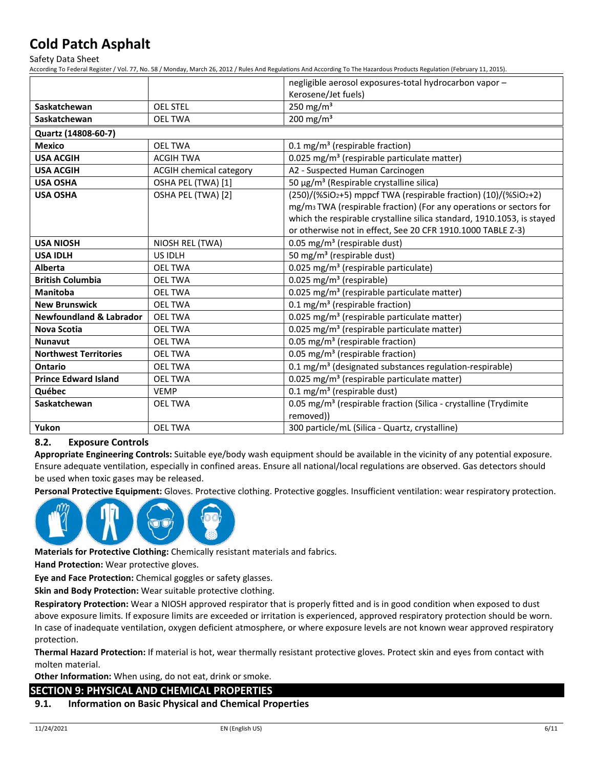Safety Data Sheet

According To Federal Register / Vol. 77, No. 58 / Monday, March 26, 2012 / Rules And Regulations And According To The Hazardous Products Regulation (February 11, 2015).

|                                    |                                | negligible aerosol exposures-total hydrocarbon vapor-                          |
|------------------------------------|--------------------------------|--------------------------------------------------------------------------------|
|                                    |                                | Kerosene/Jet fuels)                                                            |
| Saskatchewan                       | <b>OEL STEL</b>                | 250 mg/m $3$                                                                   |
| Saskatchewan                       | <b>OEL TWA</b>                 | 200 mg/m $3$                                                                   |
| Quartz (14808-60-7)                |                                |                                                                                |
| <b>Mexico</b>                      | <b>OEL TWA</b>                 | 0.1 mg/m <sup>3</sup> (respirable fraction)                                    |
| <b>USA ACGIH</b>                   | <b>ACGIH TWA</b>               | 0.025 mg/m <sup>3</sup> (respirable particulate matter)                        |
| <b>USA ACGIH</b>                   | <b>ACGIH chemical category</b> | A2 - Suspected Human Carcinogen                                                |
| <b>USA OSHA</b>                    | OSHA PEL (TWA) [1]             | 50 μg/m <sup>3</sup> (Respirable crystalline silica)                           |
| <b>USA OSHA</b>                    | OSHA PEL (TWA) [2]             | $(250)/($ %SiO2+5) mppcf TWA (respirable fraction) $(10)/($ %SiO2+2)           |
|                                    |                                | mg/m <sub>3</sub> TWA (respirable fraction) (For any operations or sectors for |
|                                    |                                | which the respirable crystalline silica standard, 1910.1053, is stayed         |
|                                    |                                | or otherwise not in effect, See 20 CFR 1910.1000 TABLE Z-3)                    |
| <b>USA NIOSH</b>                   | NIOSH REL (TWA)                | 0.05 mg/m <sup>3</sup> (respirable dust)                                       |
| <b>USA IDLH</b>                    | US IDLH                        | 50 mg/m <sup>3</sup> (respirable dust)                                         |
| Alberta                            | <b>OEL TWA</b>                 | 0.025 mg/m <sup>3</sup> (respirable particulate)                               |
| <b>British Columbia</b>            | <b>OEL TWA</b>                 | 0.025 mg/m <sup>3</sup> (respirable)                                           |
| <b>Manitoba</b>                    | <b>OEL TWA</b>                 | 0.025 mg/m <sup>3</sup> (respirable particulate matter)                        |
| <b>New Brunswick</b>               | <b>OEL TWA</b>                 | 0.1 mg/m <sup>3</sup> (respirable fraction)                                    |
| <b>Newfoundland &amp; Labrador</b> | <b>OEL TWA</b>                 | 0.025 mg/m <sup>3</sup> (respirable particulate matter)                        |
| <b>Nova Scotia</b>                 | <b>OEL TWA</b>                 | 0.025 mg/m <sup>3</sup> (respirable particulate matter)                        |
| <b>Nunavut</b>                     | <b>OEL TWA</b>                 | 0.05 mg/m <sup>3</sup> (respirable fraction)                                   |
| <b>Northwest Territories</b>       | <b>OEL TWA</b>                 | 0.05 mg/m <sup>3</sup> (respirable fraction)                                   |
| Ontario                            | <b>OEL TWA</b>                 | 0.1 mg/m <sup>3</sup> (designated substances regulation-respirable)            |
| <b>Prince Edward Island</b>        | <b>OEL TWA</b>                 | 0.025 mg/m <sup>3</sup> (respirable particulate matter)                        |
| Québec                             | <b>VEMP</b>                    | $0.1 \text{ mg/m}^3$ (respirable dust)                                         |
| Saskatchewan                       | <b>OEL TWA</b>                 | 0.05 mg/m <sup>3</sup> (respirable fraction (Silica - crystalline (Trydimite   |
|                                    |                                | removed))                                                                      |
| Yukon                              | <b>OEL TWA</b>                 | 300 particle/mL (Silica - Quartz, crystalline)                                 |

#### **8.2. Exposure Controls**

**Appropriate Engineering Controls:** Suitable eye/body wash equipment should be available in the vicinity of any potential exposure. Ensure adequate ventilation, especially in confined areas. Ensure all national/local regulations are observed. Gas detectors should be used when toxic gases may be released.

**Personal Protective Equipment:** Gloves. Protective clothing. Protective goggles. Insufficient ventilation: wear respiratory protection.



**Materials for Protective Clothing:** Chemically resistant materials and fabrics.

**Hand Protection:** Wear protective gloves.

**Eye and Face Protection:** Chemical goggles or safety glasses.

**Skin and Body Protection:** Wear suitable protective clothing.

**Respiratory Protection:** Wear a NIOSH approved respirator that is properly fitted and is in good condition when exposed to dust above exposure limits. If exposure limits are exceeded or irritation is experienced, approved respiratory protection should be worn. In case of inadequate ventilation, oxygen deficient atmosphere, or where exposure levels are not known wear approved respiratory protection.

**Thermal Hazard Protection:** If material is hot, wear thermally resistant protective gloves. Protect skin and eyes from contact with molten material.

**Other Information:** When using, do not eat, drink or smoke.

## **SECTION 9: PHYSICAL AND CHEMICAL PROPERTIES**

## **9.1. Information on Basic Physical and Chemical Properties**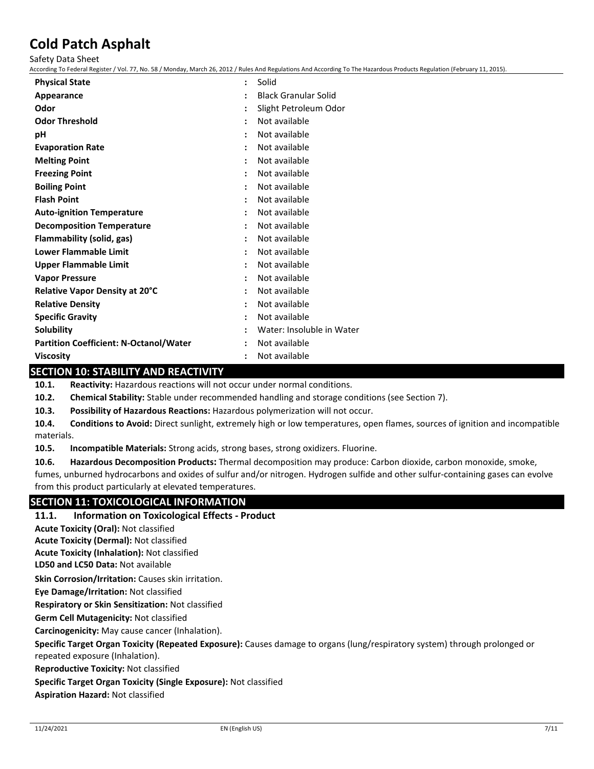Safety Data Sheet

According To Federal Register / Vol. 77, No. 58 / Monday, March 26, 2012 / Rules And Regulations And According To The Hazardous Products Regulation (February 11, 2015).

| <b>Physical State</b>                         | Solid                       |
|-----------------------------------------------|-----------------------------|
| Appearance                                    | <b>Black Granular Solid</b> |
| Odor                                          | Slight Petroleum Odor       |
| <b>Odor Threshold</b>                         | Not available               |
| рH                                            | Not available               |
| <b>Evaporation Rate</b>                       | Not available               |
| <b>Melting Point</b>                          | Not available               |
| <b>Freezing Point</b>                         | Not available               |
| <b>Boiling Point</b>                          | Not available               |
| <b>Flash Point</b>                            | Not available               |
| <b>Auto-ignition Temperature</b>              | Not available               |
| <b>Decomposition Temperature</b>              | Not available               |
| Flammability (solid, gas)                     | Not available               |
| <b>Lower Flammable Limit</b>                  | Not available               |
| Upper Flammable Limit                         | Not available               |
| <b>Vapor Pressure</b>                         | Not available               |
| Relative Vapor Density at 20°C                | Not available               |
| <b>Relative Density</b>                       | Not available               |
| <b>Specific Gravity</b>                       | Not available               |
| <b>Solubility</b>                             | Water: Insoluble in Water   |
| <b>Partition Coefficient: N-Octanol/Water</b> | Not available               |
| <b>Viscosity</b>                              | Not available               |

## **SECTION 10: STABILITY AND REACTIVITY**

**10.1. Reactivity:** Hazardous reactions will not occur under normal conditions.

**10.2. Chemical Stability:** Stable under recommended handling and storage conditions (see Section 7).

**10.3. Possibility of Hazardous Reactions:** Hazardous polymerization will not occur.

**10.4. Conditions to Avoid:** Direct sunlight, extremely high or low temperatures, open flames, sources of ignition and incompatible materials.

**10.5. Incompatible Materials:** Strong acids, strong bases, strong oxidizers. Fluorine.

**10.6. Hazardous Decomposition Products:** Thermal decomposition may produce: Carbon dioxide, carbon monoxide, smoke, fumes, unburned hydrocarbons and oxides of sulfur and/or nitrogen. Hydrogen sulfide and other sulfur-containing gases can evolve from this product particularly at elevated temperatures.

## **SECTION 11: TOXICOLOGICAL INFORMATION**

#### **11.1. Information on Toxicological Effects - Product**

**Acute Toxicity (Oral):** Not classified

**Acute Toxicity (Dermal):** Not classified

**Acute Toxicity (Inhalation):** Not classified

**LD50 and LC50 Data:** Not available

**Skin Corrosion/Irritation:** Causes skin irritation.

**Eye Damage/Irritation:** Not classified

**Respiratory or Skin Sensitization:** Not classified

**Germ Cell Mutagenicity:** Not classified

**Carcinogenicity:** May cause cancer (Inhalation).

**Specific Target Organ Toxicity (Repeated Exposure):** Causes damage to organs (lung/respiratory system) through prolonged or

repeated exposure (Inhalation).

**Reproductive Toxicity:** Not classified

**Specific Target Organ Toxicity (Single Exposure):** Not classified

**Aspiration Hazard:** Not classified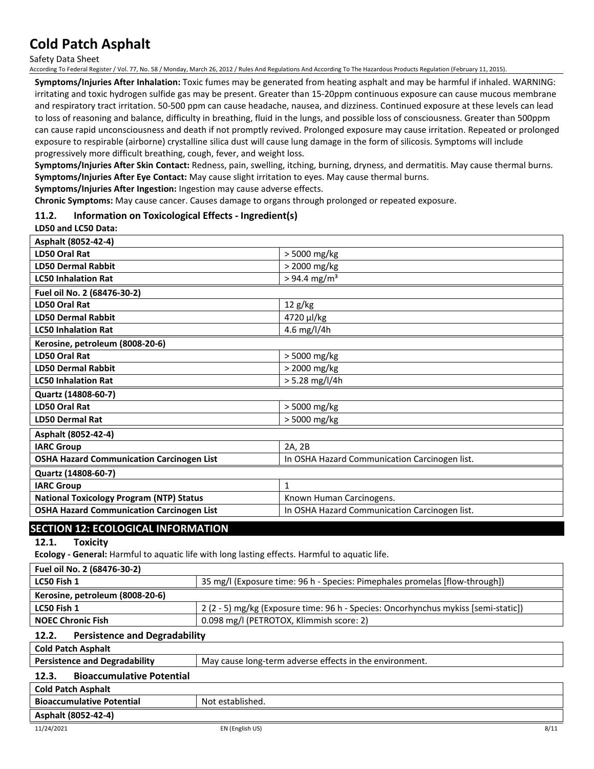Safety Data Sheet

According To Federal Register / Vol. 77, No. 58 / Monday, March 26, 2012 / Rules And Regulations And According To The Hazardous Products Regulation (February 11, 2015).

**Symptoms/Injuries After Inhalation:** Toxic fumes may be generated from heating asphalt and may be harmful if inhaled. WARNING: irritating and toxic hydrogen sulfide gas may be present. Greater than 15-20ppm continuous exposure can cause mucous membrane and respiratory tract irritation. 50-500 ppm can cause headache, nausea, and dizziness. Continued exposure at these levels can lead to loss of reasoning and balance, difficulty in breathing, fluid in the lungs, and possible loss of consciousness. Greater than 500ppm can cause rapid unconsciousness and death if not promptly revived. Prolonged exposure may cause irritation. Repeated or prolonged exposure to respirable (airborne) crystalline silica dust will cause lung damage in the form of silicosis. Symptoms will include progressively more difficult breathing, cough, fever, and weight loss.

**Symptoms/Injuries After Skin Contact:** Redness, pain, swelling, itching, burning, dryness, and dermatitis. May cause thermal burns. **Symptoms/Injuries After Eye Contact:** May cause slight irritation to eyes. May cause thermal burns.

**Symptoms/Injuries After Ingestion:** Ingestion may cause adverse effects.

**Chronic Symptoms:** May cause cancer. Causes damage to organs through prolonged or repeated exposure.

#### **11.2. Information on Toxicological Effects - Ingredient(s)**

#### **LD50 and LC50 Data:**

| Asphalt (8052-42-4)                              |                                               |
|--------------------------------------------------|-----------------------------------------------|
| LD50 Oral Rat                                    | > 5000 mg/kg                                  |
| <b>LD50 Dermal Rabbit</b>                        | > 2000 mg/kg                                  |
| <b>LC50 Inhalation Rat</b>                       | $> 94.4$ mg/m <sup>3</sup>                    |
| Fuel oil No. 2 (68476-30-2)                      |                                               |
| LD50 Oral Rat                                    | 12 g/kg                                       |
| <b>LD50 Dermal Rabbit</b>                        | 4720 µl/kg                                    |
| <b>LC50 Inhalation Rat</b>                       | 4.6 mg/l/4h                                   |
| Kerosine, petroleum (8008-20-6)                  |                                               |
| LD50 Oral Rat                                    | > 5000 mg/kg                                  |
| <b>LD50 Dermal Rabbit</b>                        | > 2000 mg/kg                                  |
| <b>LC50 Inhalation Rat</b>                       | $> 5.28$ mg/l/4h                              |
| Quartz (14808-60-7)                              |                                               |
| LD50 Oral Rat                                    | > 5000 mg/kg                                  |
| <b>LD50 Dermal Rat</b>                           | > 5000 mg/kg                                  |
| Asphalt (8052-42-4)                              |                                               |
| <b>IARC Group</b>                                | 2A, 2B                                        |
| <b>OSHA Hazard Communication Carcinogen List</b> | In OSHA Hazard Communication Carcinogen list. |
| Quartz (14808-60-7)                              |                                               |
| <b>IARC Group</b>                                | $\mathbf{1}$                                  |
| <b>National Toxicology Program (NTP) Status</b>  | Known Human Carcinogens.                      |
| <b>OSHA Hazard Communication Carcinogen List</b> | In OSHA Hazard Communication Carcinogen list. |

## **SECTION 12: ECOLOGICAL INFORMATION**

**12.1. Toxicity**

**Ecology - General:** Harmful to aquatic life with long lasting effects. Harmful to aquatic life.

| Fuel oil No. 2 (68476-30-2)     |                                                                                    |
|---------------------------------|------------------------------------------------------------------------------------|
| LC50 Fish 1                     | 35 mg/l (Exposure time: 96 h - Species: Pimephales promelas [flow-through])        |
| Kerosine, petroleum (8008-20-6) |                                                                                    |
| LC50 Fish 1                     | 2 (2 - 5) mg/kg (Exposure time: 96 h - Species: Oncorhynchus mykiss [semi-static]) |
| <b>NOEC Chronic Fish</b>        | 0.098 mg/l (PETROTOX, Klimmish score: 2)                                           |

### **12.2. Persistence and Degradability**

**Cold Patch Asphalt**

| <b>Persistence and Degradability</b> | May cause long-term adverse effects in the environment. |
|--------------------------------------|---------------------------------------------------------|
|                                      |                                                         |

## **12.3. Bioaccumulative Potential**

## **Cold Patch Asphalt**

| <b>Bioaccumulative Potential</b> | Not established. |
|----------------------------------|------------------|
| Asphalt (8052-42-4)              |                  |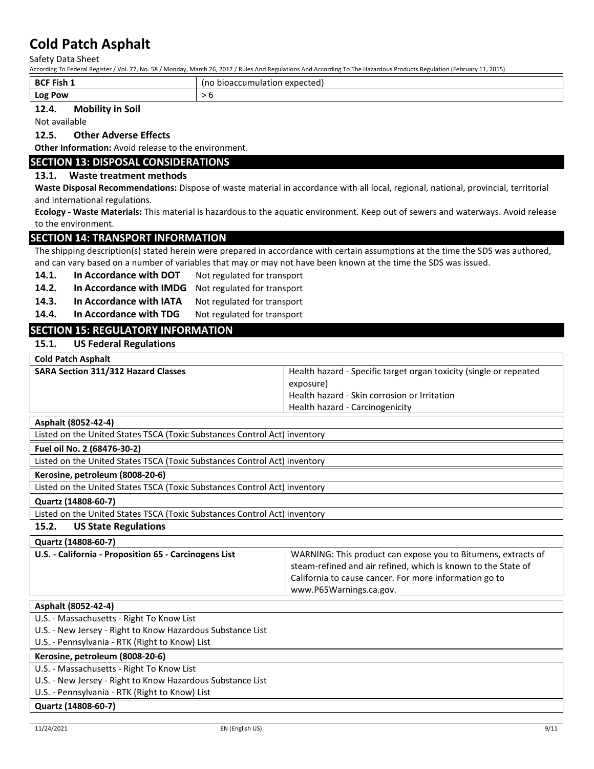Safety Data Sheet

According To Federal Register / Vol. 77, No. 58 / Monday, March 26, 2012 / Rules And Regulations And According To The Hazardous Products Regulation (February 11, 2015).

| <b>BCF Fish 1</b> | expected<br>$\sim$<br>pioaccumulation. |
|-------------------|----------------------------------------|
| Log<br><b>POW</b> |                                        |

## **12.4. Mobility in Soil**

Not available

#### **12.5. Other Adverse Effects**

**Other Information:** Avoid release to the environment.

## **SECTION 13: DISPOSAL CONSIDERATIONS**

### **13.1. Waste treatment methods**

**Waste Disposal Recommendations:** Dispose of waste material in accordance with all local, regional, national, provincial, territorial and international regulations.

**Ecology - Waste Materials:** This material is hazardous to the aquatic environment. Keep out of sewers and waterways. Avoid release to the environment.

### **SECTION 14: TRANSPORT INFORMATION**

The shipping description(s) stated herein were prepared in accordance with certain assumptions at the time the SDS was authored, and can vary based on a number of variables that may or may not have been known at the time the SDS was issued.

- 14.1. In Accordance with DOT Not regulated for transport
- **14.2. In Accordance with IMDG** Not regulated for transport
- 14.3. In Accordance with IATA Not regulated for transport
- 14.4. In Accordance with TDG Not regulated for transport

## **SECTION 15: REGULATORY INFORMATION**

**15.1. US Federal Regulations**

| <b>Cold Patch Asphalt</b>                  |                                                                    |
|--------------------------------------------|--------------------------------------------------------------------|
| <b>SARA Section 311/312 Hazard Classes</b> | Health hazard - Specific target organ toxicity (single or repeated |
|                                            | exposure)                                                          |
|                                            | Health hazard - Skin corrosion or Irritation                       |
|                                            | Health hazard - Carcinogenicity                                    |

#### **Asphalt (8052-42-4)**

Listed on the United States TSCA (Toxic Substances Control Act) inventory

**Fuel oil No. 2 (68476-30-2)**

Listed on the United States TSCA (Toxic Substances Control Act) inventory

**Kerosine, petroleum (8008-20-6)**

Listed on the United States TSCA (Toxic Substances Control Act) inventory

#### **Quartz (14808-60-7)**

Listed on the United States TSCA (Toxic Substances Control Act) inventory

#### **15.2. US State Regulations**

**Quartz (14808-60-7)**

| U.S. - California - Proposition 65 - Carcinogens List | WARNING: This product can expose you to Bitumens, extracts of<br>steam-refined and air refined, which is known to the State of<br>California to cause cancer. For more information go to<br>www.P65Warnings.ca.gov. |
|-------------------------------------------------------|---------------------------------------------------------------------------------------------------------------------------------------------------------------------------------------------------------------------|
|                                                       |                                                                                                                                                                                                                     |

| Asphalt (8052-42-4)                                        |  |  |
|------------------------------------------------------------|--|--|
| U.S. - Massachusetts - Right To Know List                  |  |  |
| U.S. - New Jersey - Right to Know Hazardous Substance List |  |  |
| U.S. - Pennsylvania - RTK (Right to Know) List             |  |  |
| Kerosine, petroleum (8008-20-6)                            |  |  |
| U.S. - Massachusetts - Right To Know List                  |  |  |
| U.S. - New Jersey - Right to Know Hazardous Substance List |  |  |
| U.S. - Pennsylvania - RTK (Right to Know) List             |  |  |
| Quartz (14808-60-7)                                        |  |  |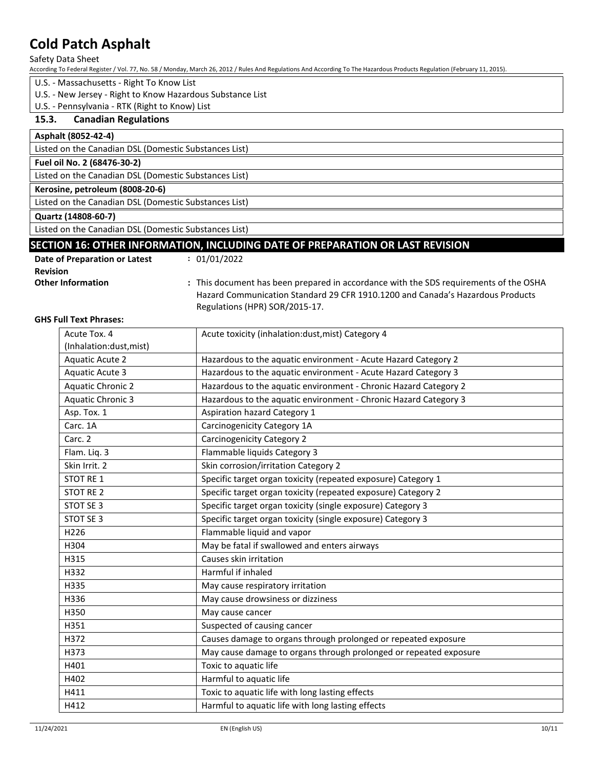Safety Data Sheet

According To Federal Register / Vol. 77, No. 58 / Monday, March 26, 2012 / Rules And Regulations And According To The Hazardous Products Regulation (February 11, 2015).

- U.S. Massachusetts Right To Know List
- U.S. New Jersey Right to Know Hazardous Substance List
- U.S. Pennsylvania RTK (Right to Know) List

#### **15.3. Canadian Regulations**

#### **Asphalt (8052-42-4)**

Listed on the Canadian DSL (Domestic Substances List)

#### **Fuel oil No. 2 (68476-30-2)**

Listed on the Canadian DSL (Domestic Substances List)

#### **Kerosine, petroleum (8008-20-6)** Listed on the Canadian DSL (Domestic Substances List)

#### **Quartz (14808-60-7)**

Listed on the Canadian DSL (Domestic Substances List)

## **SECTION 16: OTHER INFORMATION, INCLUDING DATE OF PREPARATION OR LAST REVISION**

| Date of Preparation or Latest | : 01/01/2022                                                                          |
|-------------------------------|---------------------------------------------------------------------------------------|
| <b>Revision</b>               |                                                                                       |
| <b>Other Information</b>      | : This document has been prepared in accordance with the SDS requirements of the OSHA |
|                               | Hazard Communication Standard 29 CFR 1910.1200 and Canada's Hazardous Products        |
|                               | Regulations (HPR) SOR/2015-17.                                                        |

#### **GHS Full Text Phrases:**

| Acute Tox. 4             | Acute toxicity (inhalation:dust, mist) Category 4                 |
|--------------------------|-------------------------------------------------------------------|
| (Inhalation:dust, mist)  |                                                                   |
| <b>Aquatic Acute 2</b>   | Hazardous to the aquatic environment - Acute Hazard Category 2    |
| <b>Aquatic Acute 3</b>   | Hazardous to the aquatic environment - Acute Hazard Category 3    |
| <b>Aquatic Chronic 2</b> | Hazardous to the aquatic environment - Chronic Hazard Category 2  |
| <b>Aquatic Chronic 3</b> | Hazardous to the aquatic environment - Chronic Hazard Category 3  |
| Asp. Tox. 1              | <b>Aspiration hazard Category 1</b>                               |
| Carc. 1A                 | Carcinogenicity Category 1A                                       |
| Carc. 2                  | <b>Carcinogenicity Category 2</b>                                 |
| Flam. Liq. 3             | Flammable liquids Category 3                                      |
| Skin Irrit. 2            | Skin corrosion/irritation Category 2                              |
| <b>STOT RE 1</b>         | Specific target organ toxicity (repeated exposure) Category 1     |
| STOT RE 2                | Specific target organ toxicity (repeated exposure) Category 2     |
| STOT SE 3                | Specific target organ toxicity (single exposure) Category 3       |
| STOT SE 3                | Specific target organ toxicity (single exposure) Category 3       |
| H226                     | Flammable liquid and vapor                                        |
| H304                     | May be fatal if swallowed and enters airways                      |
| H315                     | Causes skin irritation                                            |
| H332                     | Harmful if inhaled                                                |
| H335                     | May cause respiratory irritation                                  |
| H336                     | May cause drowsiness or dizziness                                 |
| H350                     | May cause cancer                                                  |
| H351                     | Suspected of causing cancer                                       |
| H372                     | Causes damage to organs through prolonged or repeated exposure    |
| H373                     | May cause damage to organs through prolonged or repeated exposure |
| H401                     | Toxic to aquatic life                                             |
| H402                     | Harmful to aquatic life                                           |
| H411                     | Toxic to aquatic life with long lasting effects                   |
| H412                     | Harmful to aquatic life with long lasting effects                 |
|                          |                                                                   |